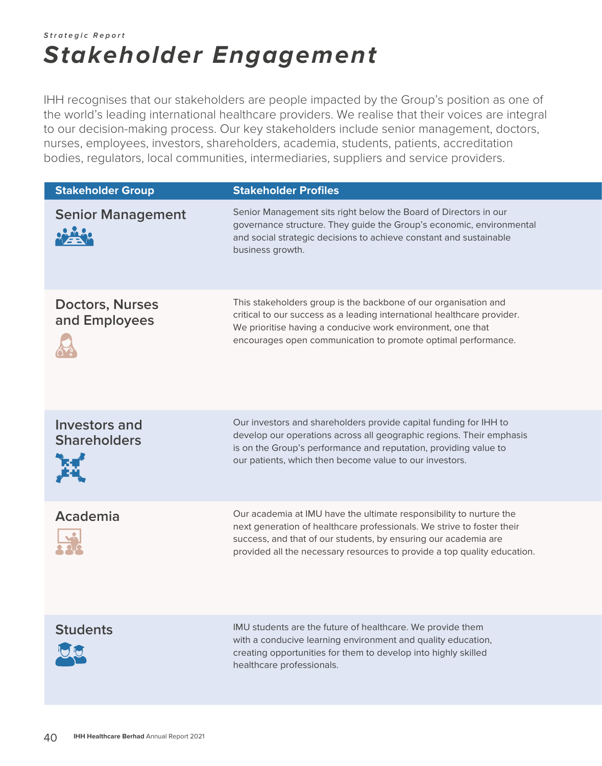## **Strategic Report Stakeholder Engagement**

IHH recognises that our stakeholders are people impacted by the Group's position as one of the world's leading international healthcare providers. We realise that their voices are integral to our decision-making process. Our key stakeholders include senior management, doctors, nurses, employees, investors, shareholders, academia, students, patients, accreditation bodies, regulators, local communities, intermediaries, suppliers and service providers.

| <b>Stakeholder Group</b>                                        | <b>Stakeholder Profiles</b>                                                                                                                                                                                                                                                                  |
|-----------------------------------------------------------------|----------------------------------------------------------------------------------------------------------------------------------------------------------------------------------------------------------------------------------------------------------------------------------------------|
| <b>Senior Management</b><br><b>SPACE</b>                        | Senior Management sits right below the Board of Directors in our<br>governance structure. They guide the Group's economic, environmental<br>and social strategic decisions to achieve constant and sustainable<br>business growth.                                                           |
| <b>Doctors, Nurses</b><br>and Employees                         | This stakeholders group is the backbone of our organisation and<br>critical to our success as a leading international healthcare provider.<br>We prioritise having a conducive work environment, one that<br>encourages open communication to promote optimal performance.                   |
| <b>Investors and</b><br><b>Shareholders</b><br>ੋਸ਼-ਬ″<br>ੂੰਸ-ਘ੍ | Our investors and shareholders provide capital funding for IHH to<br>develop our operations across all geographic regions. Their emphasis<br>is on the Group's performance and reputation, providing value to<br>our patients, which then become value to our investors.                     |
| Academia                                                        | Our academia at IMU have the ultimate responsibility to nurture the<br>next generation of healthcare professionals. We strive to foster their<br>success, and that of our students, by ensuring our academia are<br>provided all the necessary resources to provide a top quality education. |
| <b>Students</b>                                                 | IMU students are the future of healthcare. We provide them<br>with a conducive learning environment and quality education,<br>creating opportunities for them to develop into highly skilled<br>healthcare professionals.                                                                    |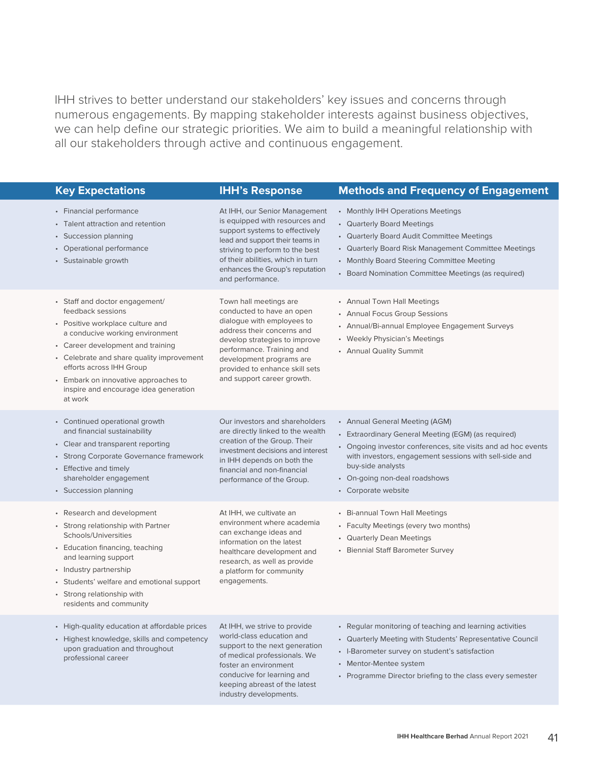IHH strives to better understand our stakeholders' key issues and concerns through numerous engagements. By mapping stakeholder interests against business objectives, we can help define our strategic priorities. We aim to build a meaningful relationship with all our stakeholders through active and continuous engagement.

| <b>Key Expectations</b>                                                                                                                                                                                                                                                                                                              | <b>IHH's Response</b>                                                                                                                                                                                                                                                     | <b>Methods and Frequency of Engagement</b>                                                                                                                                                                                                                                                    |
|--------------------------------------------------------------------------------------------------------------------------------------------------------------------------------------------------------------------------------------------------------------------------------------------------------------------------------------|---------------------------------------------------------------------------------------------------------------------------------------------------------------------------------------------------------------------------------------------------------------------------|-----------------------------------------------------------------------------------------------------------------------------------------------------------------------------------------------------------------------------------------------------------------------------------------------|
| • Financial performance<br>• Talent attraction and retention<br>• Succession planning<br>• Operational performance<br>• Sustainable growth                                                                                                                                                                                           | At IHH, our Senior Management<br>is equipped with resources and<br>support systems to effectively<br>lead and support their teams in<br>striving to perform to the best<br>of their abilities, which in turn<br>enhances the Group's reputation<br>and performance.       | • Monthly IHH Operations Meetings<br>• Quarterly Board Meetings<br>• Quarterly Board Audit Committee Meetings<br>• Quarterly Board Risk Management Committee Meetings<br>• Monthly Board Steering Committee Meeting<br>• Board Nomination Committee Meetings (as required)                    |
| • Staff and doctor engagement/<br>feedback sessions<br>• Positive workplace culture and<br>a conducive working environment<br>• Career development and training<br>• Celebrate and share quality improvement<br>efforts across IHH Group<br>• Embark on innovative approaches to<br>inspire and encourage idea generation<br>at work | Town hall meetings are<br>conducted to have an open<br>dialogue with employees to<br>address their concerns and<br>develop strategies to improve<br>performance. Training and<br>development programs are<br>provided to enhance skill sets<br>and support career growth. | • Annual Town Hall Meetings<br>• Annual Focus Group Sessions<br>• Annual/Bi-annual Employee Engagement Surveys<br>• Weekly Physician's Meetings<br>• Annual Quality Summit                                                                                                                    |
| • Continued operational growth<br>and financial sustainability<br>• Clear and transparent reporting<br>• Strong Corporate Governance framework<br>• Effective and timely<br>shareholder engagement<br>• Succession planning                                                                                                          | Our investors and shareholders<br>are directly linked to the wealth<br>creation of the Group. Their<br>investment decisions and interest<br>in IHH depends on both the<br>financial and non-financial<br>performance of the Group.                                        | • Annual General Meeting (AGM)<br>• Extraordinary General Meeting (EGM) (as required)<br>• Ongoing investor conferences, site visits and ad hoc events<br>with investors, engagement sessions with sell-side and<br>buy-side analysts<br>• On-going non-deal roadshows<br>• Corporate website |
| • Research and development<br>• Strong relationship with Partner<br>Schools/Universities<br>• Education financing, teaching<br>and learning support<br>• Industry partnership<br>• Students' welfare and emotional support<br>• Strong relationship with<br>residents and community                                                  | At IHH, we cultivate an<br>environment where academia<br>can exchange ideas and<br>information on the latest<br>healthcare development and<br>research, as well as provide<br>a platform for community<br>engagements.                                                    | • Bi-annual Town Hall Meetings<br>• Faculty Meetings (every two months)<br>• Quarterly Dean Meetings<br>• Biennial Staff Barometer Survey                                                                                                                                                     |
| • High-quality education at affordable prices<br>• Highest knowledge, skills and competency<br>upon graduation and throughout<br>professional career                                                                                                                                                                                 | At IHH, we strive to provide<br>world-class education and<br>support to the next generation<br>of medical professionals. We<br>foster an environment<br>conducive for learning and<br>keeping abreast of the latest<br>industry developments.                             | • Regular monitoring of teaching and learning activities<br>• Quarterly Meeting with Students' Representative Council<br>• I-Barometer survey on student's satisfaction<br>• Mentor-Mentee system<br>• Programme Director briefing to the class every semester                                |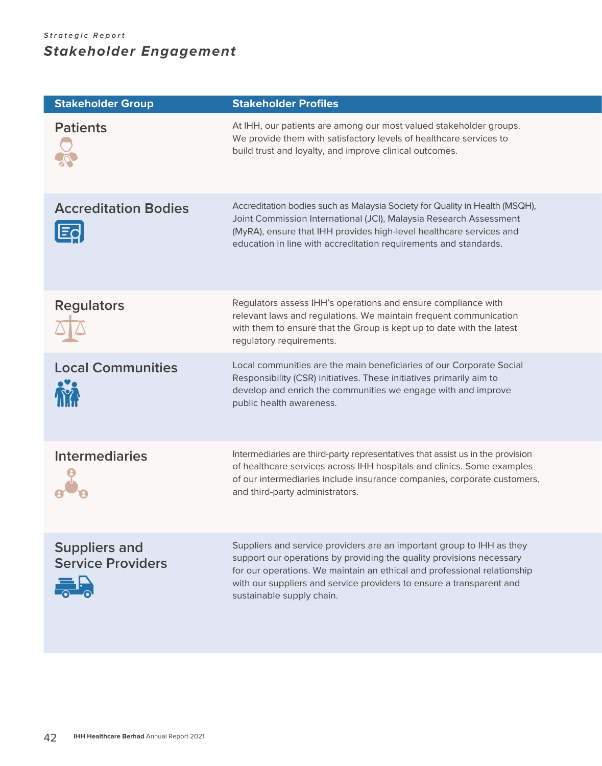## **Strategic Report Stakeholder Engagement**

| <b>Stakeholder Group</b>                              | <b>Stakeholder Profiles</b>                                                                                                                                                                                                                                                                                                    |
|-------------------------------------------------------|--------------------------------------------------------------------------------------------------------------------------------------------------------------------------------------------------------------------------------------------------------------------------------------------------------------------------------|
| <b>Patients</b>                                       | At IHH, our patients are among our most valued stakeholder groups.<br>We provide them with satisfactory levels of healthcare services to<br>build trust and loyalty, and improve clinical outcomes.                                                                                                                            |
| <b>Accreditation Bodies</b><br><u> IEc</u>            | Accreditation bodies such as Malaysia Society for Quality in Health (MSQH),<br>Joint Commission International (JCI), Malaysia Research Assessment<br>(MyRA), ensure that IHH provides high-level healthcare services and<br>education in line with accreditation requirements and standards.                                   |
| <b>Regulators</b>                                     | Regulators assess IHH's operations and ensure compliance with<br>relevant laws and regulations. We maintain frequent communication<br>with them to ensure that the Group is kept up to date with the latest<br>regulatory requirements.                                                                                        |
| <b>Local Communities</b>                              | Local communities are the main beneficiaries of our Corporate Social<br>Responsibility (CSR) initiatives. These initiatives primarily aim to<br>develop and enrich the communities we engage with and improve<br>public health awareness.                                                                                      |
| <b>Intermediaries</b>                                 | Intermediaries are third-party representatives that assist us in the provision<br>of healthcare services across IHH hospitals and clinics. Some examples<br>of our intermediaries include insurance companies, corporate customers,<br>and third-party administrators.                                                         |
| <b>Suppliers and</b><br><b>Service Providers</b><br>景 | Suppliers and service providers are an important group to IHH as they<br>support our operations by providing the quality provisions necessary<br>for our operations. We maintain an ethical and professional relationship<br>with our suppliers and service providers to ensure a transparent and<br>sustainable supply chain. |